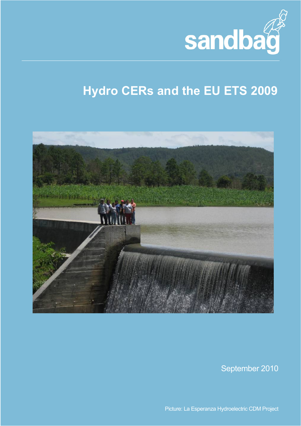

# **Hydro CERs and the EU ETS 2009**



September 2010

Picture: La Esperanza Hydroelectric CDM Project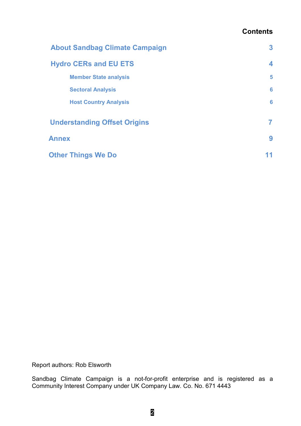### **Contents**

| <b>About Sandbag Climate Campaign</b> |   |
|---------------------------------------|---|
| <b>Hydro CERs and EU ETS</b>          | 4 |
| <b>Member State analysis</b>          | 5 |
| <b>Sectoral Analysis</b>              | 6 |
| <b>Host Country Analysis</b>          | 6 |
| <b>Understanding Offset Origins</b>   |   |
| <b>Annex</b>                          | 9 |
| <b>Other Things We Do</b>             |   |

Report authors: Rob Elsworth

Sandbag Climate Campaign is a not-for-profit enterprise and is registered as a Community Interest Company under UK Company Law. Co. No. 671 4443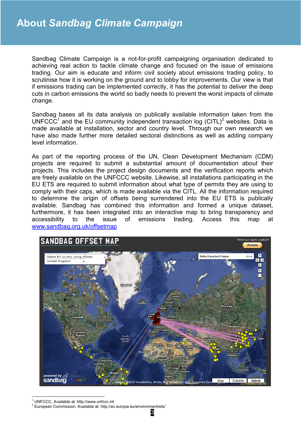Sandbag Climate Campaign is a not-for-profit campaigning organisation dedicated to achieving real action to tackle climate change and focused on the issue of emissions trading. Our aim is educate and inform civil society about emissions trading policy, to scrutinise how it is working on the ground and to lobby for improvements. Our view is that if emissions trading can be implemented correctly, it has the potential to deliver the deep cuts in carbon emissions the world so badly needs to prevent the worst impacts of climate change.

Sandbag bases all its data analysis on publically available information taken from the UNFCCC<sup>1</sup> and the EU community independent transaction log (CITL)<sup>2</sup> websites. Data is made available at installation, sector and country level. Through our own research we have also made further more detailed sectoral distinctions as well as adding company level information.

As part of the reporting process of the UN, Clean Development Mechanism (CDM) projects are required to submit a substantial amount of documentation about their projects. This includes the project design documents and the verification reports which are freely available on the UNFCCC website. Likewise, all installations participating in the EU ETS are required to submit information about what type of permits they are using to comply with their caps, which is made available via the CITL. All the information required to determine the origin of offsets being surrendered into the EU ETS is publically available. Sandbag has combined this information and formed a unique dataset, furthermore, it has been integrated into an interactive map to bring transparency and accessibility to the issue of emissions trading. Access this map at www.sandbag.org.uk/offsetmap



-1 UNFCCC, Available at: http://www.unfccc.int

<sup>&</sup>lt;sup>2</sup> European Commission, Available at: http://ec.europa.eu/environment/ets/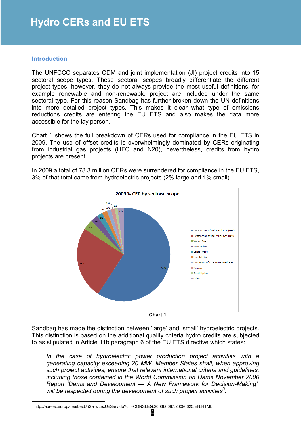#### **Introduction**

The UNFCCC separates CDM and joint implementation (JI) project credits into 15 sectoral scope types. These sectoral scopes broadly differentiate the different project types, however, they do not always provide the most useful definitions, for example renewable and non-renewable project are included under the same sectoral type. For this reason Sandbag has further broken down the UN definitions into more detailed project types. This makes it clear what type of emissions reductions credits are entering the EU ETS and also makes the data more accessible for the lay person.

Chart 1 shows the full breakdown of CERs used for compliance in the EU ETS in 2009. The use of offset credits is overwhelmingly dominated by CERs originating from industrial gas projects (HFC and N20), nevertheless, credits from hydro projects are present.



In 2009 a total of 78.3 million CERs were surrendered for compliance in the EU ETS, 3% of that total came from hydroelectric projects (2% large and 1% small).

**Chart 1** 

Sandbag has made the distinction between 'large' and 'small' hydroelectric projects. This distinction is based on the additional quality criteria hydro credits are subjected to as stipulated in Article 11b paragraph 6 of the EU ETS directive which states:

In the case of hydroelectric power production project activities with a *generating capacity exceeding 20 MW, Member States shall, when approving such project activities, ensure that relevant international criteria and guidelines, including those contained in the World Commission on Dams November 2000 Report 'Dams and Development — A New Framework for Decision-Making', will be respected during the development of such project activities<sup>3</sup> .* 

 3 http://eur-lex.europa.eu/LexUriServ/LexUriServ.do?uri=CONSLEG:2003L0087:20090625:EN:HTML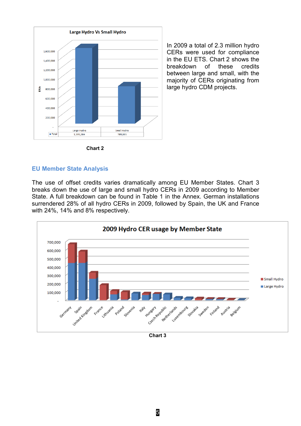

In 2009 a total of 2.3 million hydro CERs were used for compliance in the EU ETS. Chart 2 shows the breakdown of these credits between large and small, with the majority of CERs originating from large hydro CDM projects.

**Chart 2** 

#### **EU Member State Analysis**

The use of offset credits varies dramatically among EU Member States. Chart 3 breaks down the use of large and small hydro CERs in 2009 according to Member State. A full breakdown can be found in Table 1 in the Annex. German installations surrendered 28% of all hydro CERs in 2009, followed by Spain, the UK and France with 24%, 14% and 8% respectively.



**Chart 3**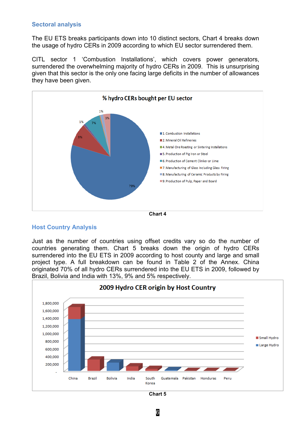#### **Sectoral analysis**

The EU ETS breaks participants down into 10 distinct sectors, Chart 4 breaks down the usage of hydro CERs in 2009 according to which EU sector surrendered them.

CITL sector 1 'Combustion Installations', which covers power generators, surrendered the overwhelming majority of hydro CERs in 2009. This is unsurprising given that this sector is the only one facing large deficits in the number of allowances they have been given.





#### **Host Country Analysis**

Just as the number of countries using offset credits vary so do the number of countries generating them. Chart 5 breaks down the origin of hydro CERs surrendered into the EU ETS in 2009 according to host county and large and small project type. A full breakdown can be found in Table 2 of the Annex. China originated 70% of all hydro CERs surrendered into the EU ETS in 2009, followed by Brazil, Bolivia and India with 13%, 9% and 5% respectively.



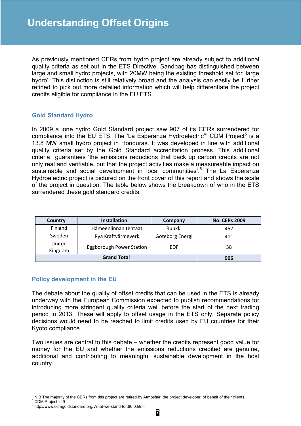As previously mentioned CERs from hydro project are already subject to additional quality criteria as set out in the ETS Directive. Sandbag has distinguished between large and small hydro projects, with 20MW being the existing threshold set for 'large hydro'. This distinction is still relatively broad and the analysis can easily be further refined to pick out more detailed information which will help differentiate the project credits eligible for compliance in the EU ETS.

#### **Gold Standard Hydro**

In 2009 a lone hydro Gold Standard project saw 907 of its CERs surrendered for compliance into the EU ETS. The 'La Esperanza Hydroelectric<sup>4</sup>' CDM Project<sup>5</sup> is a 13.8 MW small hydro project in Honduras. It was developed in line with additional quality criteria set by the Gold Standard accreditation process. This additional criteria guarantees 'the emissions reductions that back up carbon credits are not only real and verifiable, but that the project activities make a measureable impact on sustainable and social development in local communities'.<sup>6</sup> The La Esperanza Hydroelectric project is pictured on the front cover of this report and shows the scale of the project in question. The table below shows the breakdown of who in the ETS surrendered these gold standard credits.

| Country            | <b>Installation</b>             | Company         | <b>No. CERs 2009</b> |
|--------------------|---------------------------------|-----------------|----------------------|
| Finland            | Hämeenlinnan tehtaat            | Ruukki          | 457                  |
| Sweden             | Rya Kraftvärmeverk              | Göteborg Energi | 411                  |
| United<br>Kingdom  | <b>Eggborough Power Station</b> | EDF             | 38                   |
| <b>Grand Total</b> |                                 | 906             |                      |

#### **Policy development in the EU**

The debate about the quality of offset credits that can be used in the ETS is already underway with the European Commission expected to publish recommendations for introducing more stringent quality criteria well before the start of the next trading period in 2013. These will apply to offset usage in the ETS only. Separate policy decisions would need to be reached to limit credits used by EU countries for their Kyoto compliance.

Two issues are central to this debate – whether the credits represent good value for money for the EU and whether the emissions reductions credited are genuine, additional and contributing to meaningful sustainable development in the host country.

<sup>&</sup>lt;u>.</u> 4 N.B The majority of the CERs from this project are retired by Atmosfair, the project developer, of behalf of their clients. 5 CDM Project id 9

<sup>6</sup> http://www.cdmgoldstandard.org/What-we-stand-for.66.0.html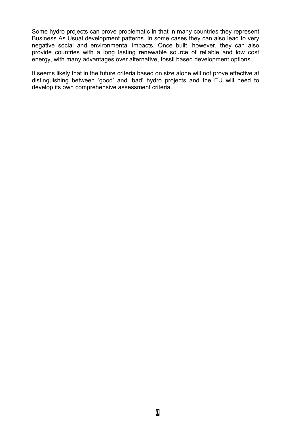Some hydro projects can prove problematic in that in many countries they represent Business As Usual development patterns. In some cases they can also lead to very negative social and environmental impacts. Once built, however, they can also provide countries with a long lasting renewable source of reliable and low cost energy, with many advantages over alternative, fossil based development options.

It seems likely that in the future criteria based on size alone will not prove effective at distinguishing between 'good' and 'bad' hydro projects and the EU will need to develop its own comprehensive assessment criteria.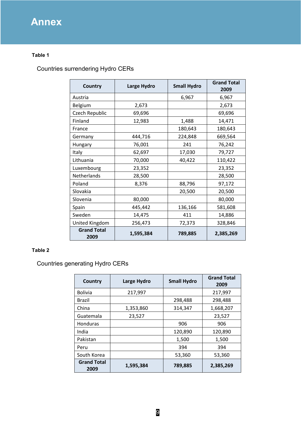# **Annex**

#### **Table 1**

### Countries surrendering Hydro CERs

| Country                    | Large Hydro | <b>Small Hydro</b> | <b>Grand Total</b><br>2009 |
|----------------------------|-------------|--------------------|----------------------------|
| Austria                    |             | 6,967              | 6,967                      |
| Belgium                    | 2,673       |                    | 2,673                      |
| Czech Republic             | 69,696      |                    | 69,696                     |
| Finland                    | 12,983      | 1,488              | 14,471                     |
| France                     |             | 180,643            | 180,643                    |
| Germany                    | 444,716     | 224,848            | 669,564                    |
| Hungary                    | 76,001      | 241                | 76,242                     |
| Italy                      | 62,697      | 17,030             | 79,727                     |
| Lithuania                  | 70,000      | 40,422             | 110,422                    |
| Luxembourg                 | 23,352      |                    | 23,352                     |
| Netherlands                | 28,500      |                    | 28,500                     |
| Poland                     | 8,376       | 88,796             | 97,172                     |
| Slovakia                   |             | 20,500             | 20,500                     |
| Slovenia                   | 80,000      |                    | 80,000                     |
| Spain                      | 445,442     | 136,166            | 581,608                    |
| Sweden                     | 14,475      | 411                | 14,886                     |
| United Kingdom             | 256,473     | 72,373             | 328,846                    |
| <b>Grand Total</b><br>2009 | 1,595,384   | 789,885            | 2,385,269                  |

#### **Table 2**

Countries generating Hydro CERs

| Country                    | Large Hydro | <b>Small Hydro</b> | <b>Grand Total</b><br>2009 |
|----------------------------|-------------|--------------------|----------------------------|
| <b>Bolivia</b>             | 217,997     |                    | 217,997                    |
| Brazil                     |             | 298,488            | 298,488                    |
| China                      | 1,353,860   | 314,347            | 1,668,207                  |
| Guatemala                  | 23,527      |                    | 23,527                     |
| <b>Honduras</b>            |             | 906                | 906                        |
| India                      |             | 120,890            | 120,890                    |
| Pakistan                   |             | 1,500              | 1,500                      |
| Peru                       |             | 394                | 394                        |
| South Korea                |             | 53,360             | 53,360                     |
| <b>Grand Total</b><br>2009 | 1,595,384   | 789,885            | 2,385,269                  |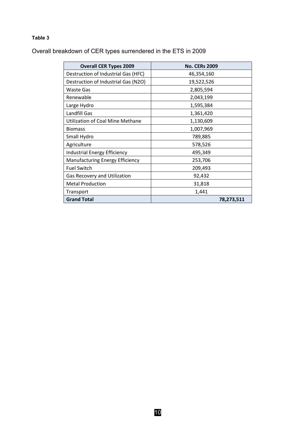#### **Table 3**

Overall breakdown of CER types surrendered in the ETS in 2009

| <b>Overall CER Types 2009</b>           | <b>No. CERs 2009</b> |
|-----------------------------------------|----------------------|
| Destruction of Industrial Gas (HFC)     | 46,354,160           |
| Destruction of Industrial Gas (N2O)     | 19,522,526           |
| <b>Waste Gas</b>                        | 2,805,594            |
| Renewable                               | 2,043,199            |
| Large Hydro                             | 1,595,384            |
| Landfill Gas                            | 1,361,420            |
| <b>Utilization of Coal Mine Methane</b> | 1,130,609            |
| <b>Biomass</b>                          | 1,007,969            |
| Small Hydro                             | 789,885              |
| Agriculture                             | 578,526              |
| <b>Industrial Energy Efficiency</b>     | 495,349              |
| <b>Manufacturing Energy Efficiency</b>  | 253,706              |
| <b>Fuel Switch</b>                      | 209,493              |
| Gas Recovery and Utilization            | 92,432               |
| <b>Metal Production</b>                 | 31,818               |
| Transport                               | 1,441                |
| <b>Grand Total</b>                      | 78,273,511           |